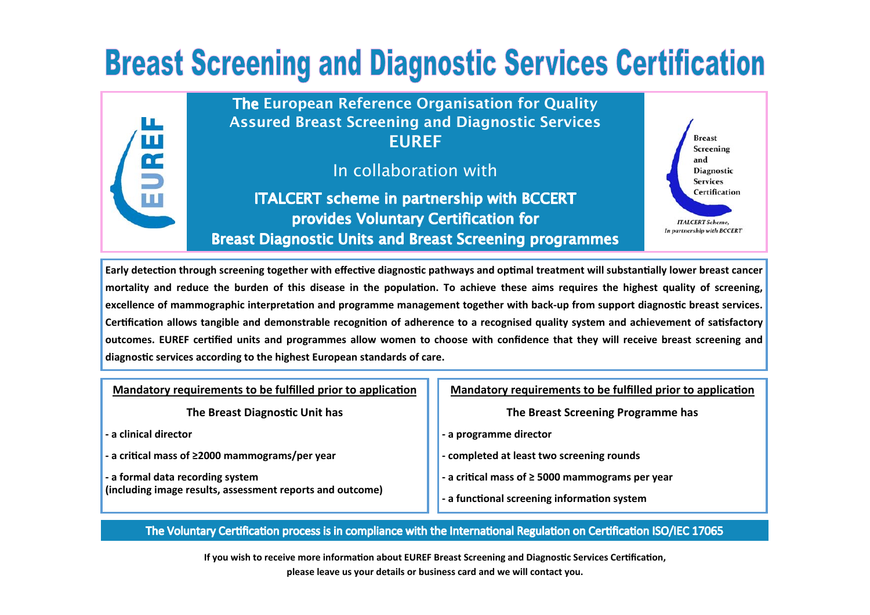## **Breast Screening and Diagnostic Services Certification**



Early detection through screening together with effective diagnostic pathways and optimal treatment will substantially lower breast cancer mortality and reduce the burden of this disease in the population. To achieve these aims requires the highest quality of screening, excellence of mammographic interpretation and programme management together with back-up from support diagnostic breast services. Certification allows tangible and demonstrable recognition of adherence to a recognised quality system and achievement of satisfactory **outcomes. EUREF cerƟfied units and programmes allow women to choose with confidence that they will receive breast screening and diagnosƟc services according to the highest European standards of care.**

**Mandatory requirements to be fulfilled prior to application** 

**The Breast DiagnosƟc Unit has** 

**‐ a clinical director** 

**‐ a criƟcal mass of ≥2000 mammograms/per year** 

**‐ a formal data recording system (including image results, assessment reports and outcome)** **Mandatory requirements to be fulfilled prior to application** 

**The Breast Screening Programme has** 

**‐ a programme director** 

**‐ completed at least two screening rounds** 

**‐ a criƟcal mass of ≥ 5000 mammograms per year** 

**‐ a funcƟonal screening informaƟon system** 

The Voluntary Certification process is in compliance with the International Regulation on Certification ISO/IEC 17065

If you wish to receive more information about EUREF Breast Screening and Diagnostic Services Certification, **please leave us your details or business card and we will contact you.**